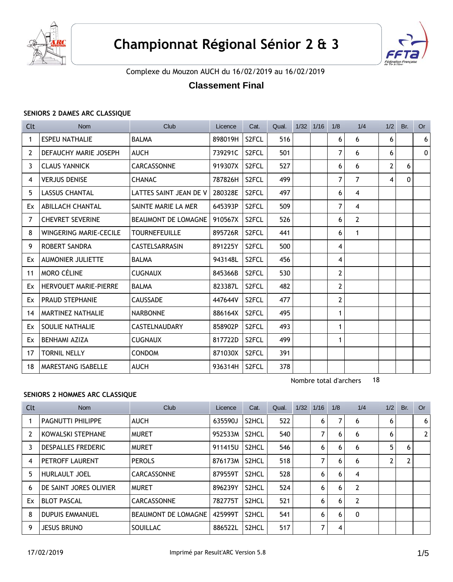



Complexe du Mouzon AUCH du 16/02/2019 au 16/02/2019

# **Classement Final**

#### **SENIORS 2 DAMES ARC CLASSIQUE**

| Clt | <b>Nom</b>                   | Club                   | Licence | Cat.               | Qual. | $1/32$ $1/16$ | 1/8            | 1/4            | 1/2 | Br.      | <b>Or</b>      |
|-----|------------------------------|------------------------|---------|--------------------|-------|---------------|----------------|----------------|-----|----------|----------------|
| 1   | <b>ESPEU NATHALIE</b>        | <b>BALMA</b>           | 898019H | S2FCL              | 516   |               | 6              | 6              | 6   |          | 6 <sup>1</sup> |
| 2   | DEFAUCHY MARIE JOSEPH        | <b>AUCH</b>            | 739291C | S <sub>2</sub> FCL | 501   |               | 7              | 6              | 6   |          | $\Omega$       |
| 3   | <b>CLAUS YANNICK</b>         | <b>CARCASSONNE</b>     | 919307X | S <sub>2</sub> FCL | 527   |               | 6              | 6              | 2   | 6        |                |
| 4   | <b>VERJUS DENISE</b>         | <b>CHANAC</b>          | 787826H | S <sub>2</sub> FCL | 499   |               | 7              | 7              | 4   | $\Omega$ |                |
| 5   | <b>LASSUS CHANTAL</b>        | LATTES SAINT JEAN DE V | 280328E | S <sub>2</sub> FCL | 497   |               | 6              | 4              |     |          |                |
| Ex  | <b>ABILLACH CHANTAL</b>      | SAINTE MARIE LA MER    | 645393P | S <sub>2</sub> FCL | 509   |               | 7              | 4              |     |          |                |
| 7   | <b>CHEVRET SEVERINE</b>      | BEAUMONT DE LOMAGNE    | 910567X | S <sub>2</sub> FCL | 526   |               | 6              | $\overline{2}$ |     |          |                |
| 8   | WINGERING MARIE-CECILE       | <b>TOURNEFEUILLE</b>   | 895726R | S <sub>2</sub> FCL | 441   |               | 6              | $\mathbf{1}$   |     |          |                |
| 9   | ROBERT SANDRA                | <b>CASTELSARRASIN</b>  | 891225Y | S <sub>2</sub> FCL | 500   |               | 4              |                |     |          |                |
| Ex  | <b>AUMONIER JULIETTE</b>     | <b>BALMA</b>           | 943148L | S <sub>2</sub> FCL | 456   |               | 4              |                |     |          |                |
| 11  | <b>MORO CÉLINE</b>           | <b>CUGNAUX</b>         | 845366B | S <sub>2</sub> FCL | 530   |               | $\overline{2}$ |                |     |          |                |
| Ex  | <b>HERVOUET MARIE-PIERRE</b> | <b>BALMA</b>           | 823387L | S <sub>2</sub> FCL | 482   |               | 2              |                |     |          |                |
| Ex  | <b>PRAUD STEPHANIE</b>       | <b>CAUSSADE</b>        | 447644V | S <sub>2</sub> FCL | 477   |               | 2              |                |     |          |                |
| 14  | MARTINEZ NATHALIE            | <b>NARBONNE</b>        | 886164X | S <sub>2</sub> FCL | 495   |               | 1              |                |     |          |                |
| Ex  | SOULIE NATHALIE              | <b>CASTELNAUDARY</b>   | 858902P | S <sub>2</sub> FCL | 493   |               | 1              |                |     |          |                |
| Ex  | <b>BENHAMI AZIZA</b>         | <b>CUGNAUX</b>         | 817722D | S <sub>2</sub> FCL | 499   |               | 1              |                |     |          |                |
| 17  | <b>TORNIL NELLY</b>          | <b>CONDOM</b>          | 871030X | S <sub>2</sub> FCL | 391   |               |                |                |     |          |                |
| 18  | MARESTANG ISABELLE           | <b>AUCH</b>            | 936314H | S <sub>2</sub> FCL | 378   |               |                |                |     |          |                |

Nombre total d'archers 18

#### **SENIORS 2 HOMMES ARC CLASSIQUE**

| Clt            | Nom                       | Club                | Licence | Cat.  | Qual. | 1/32 | 1/16 | 1/8 | 1/4 | 1/2 | Br. | Or             |
|----------------|---------------------------|---------------------|---------|-------|-------|------|------|-----|-----|-----|-----|----------------|
|                | PAGNUTTI PHILIPPE         | <b>AUCH</b>         | 635590J | S2HCL | 522   |      | 6    | 7   | 6   | 6   |     | 6 <sup>1</sup> |
| $\overline{2}$ | KOWALSKI STEPHANE         | <b>MURET</b>        | 952533M | S2HCL | 540   |      | 7    | 6   | 6   | 6   |     | 2 <sup>1</sup> |
| 3              | <b>DESPALLES FREDERIC</b> | <b>MURET</b>        | 911415U | S2HCL | 546   |      | 6    | 6   | 6   | 5   | 6   |                |
| 4              | PETROFF LAURENT           | <b>PEROLS</b>       | 876173M | S2HCL | 518   |      | 7    | 6   | 6   | 2   |     |                |
| 5              | <b>HURLAULT JOEL</b>      | <b>CARCASSONNE</b>  | 879559T | S2HCL | 528   |      | 6    | 6   | 4   |     |     |                |
| 6              | DE SAINT JORES OLIVIER    | <b>MURET</b>        | 896239Y | S2HCL | 524   |      | 6    | 6   | 2   |     |     |                |
| Ex             | <b>BLOT PASCAL</b>        | <b>CARCASSONNE</b>  | 782775T | S2HCL | 521   |      | 6    | 6   | 2   |     |     |                |
| 8              | <b>DUPUIS EMMANUEL</b>    | BEAUMONT DE LOMAGNE | 425999T | S2HCL | 541   |      | 6    | 6   | 0   |     |     |                |
| 9              | <b>JESUS BRUNO</b>        | SOUILLAC            | 886522L | S2HCL | 517   |      | 7    | 4   |     |     |     |                |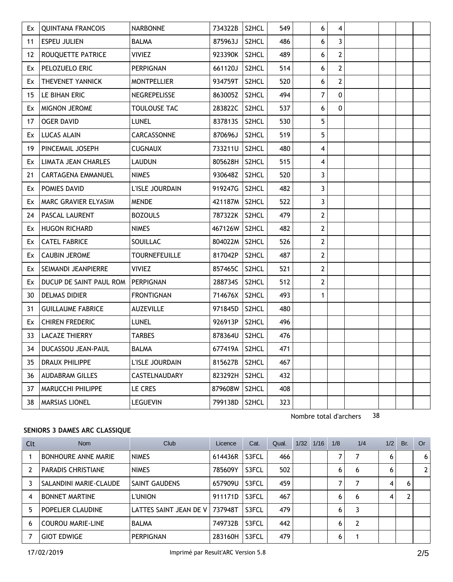| Ex | <b>QUINTANA FRANCOIS</b>            | <b>NARBONNE</b>      | 734322B       | S2HCL              | 549 | 6              | 4              |  |  |
|----|-------------------------------------|----------------------|---------------|--------------------|-----|----------------|----------------|--|--|
| 11 | <b>ESPEU JULIEN</b>                 | <b>BALMA</b>         | 875963J       | S2HCL              | 486 | 6              | 3              |  |  |
| 12 | ROUQUETTE PATRICE                   | <b>VIVIEZ</b>        | 923390K       | S2HCL              | 489 | 6              | $\overline{2}$ |  |  |
| Ex | PELOZUELO ERIC                      | PERPIGNAN            | 661120J       | S2HCL              | 514 | 6              | $\overline{2}$ |  |  |
| Ex | THEVENET YANNICK                    | <b>MONTPELLIER</b>   | 934759T       | S2HCL              | 520 | 6              | $\mathbf{2}$   |  |  |
| 15 | LE BIHAN ERIC                       | NEGREPELISSE         | 863005Z       | S <sub>2</sub> HCL | 494 | 7              | $\Omega$       |  |  |
| Ex | <b>MIGNON JEROME</b>                | TOULOUSE TAC         | 283822C       | S2HCL              | 537 | 6              | 0              |  |  |
| 17 | <b>OGER DAVID</b>                   | LUNEL                | 837813S       | S2HCL              | 530 | 5              |                |  |  |
| Ex | <b>LUCAS ALAIN</b>                  | CARCASSONNE          | 870696J       | S2HCL              | 519 | 5              |                |  |  |
| 19 | PINCEMAIL JOSEPH                    | <b>CUGNAUX</b>       | 733211U       | S2HCL              | 480 | 4              |                |  |  |
| Ex | LIMATA JEAN CHARLES                 | <b>LAUDUN</b>        | 805628H       | S2HCL              | 515 | 4              |                |  |  |
| 21 | CARTAGENA EMMANUEL                  | <b>NIMES</b>         | 930648Z       | S2HCL              | 520 | 3              |                |  |  |
| Ex | POMIES DAVID                        | L'ISLE JOURDAIN      | 919247G       | S <sub>2</sub> HCL | 482 | 3              |                |  |  |
| Ex | MARC GRAVIER ELYASIM                | <b>MENDE</b>         | 421187M       | S2HCL              | 522 | 3              |                |  |  |
| 24 | <b>PASCAL LAURENT</b>               | <b>BOZOULS</b>       | 787322K       | S2HCL              | 479 | $\mathbf{2}$   |                |  |  |
| Ex | HUGON RICHARD                       | <b>NIMES</b>         | 467126W       | S2HCL              | 482 | $\mathbf{2}$   |                |  |  |
| Ex | <b>CATEL FABRICE</b>                | SOUILLAC             | 804022M       | S <sub>2</sub> HCL | 526 | $\mathbf{2}$   |                |  |  |
| Ex | <b>CAUBIN JEROME</b>                | <b>TOURNEFEUILLE</b> | 817042P       | S <sub>2</sub> HCL | 487 | $\overline{2}$ |                |  |  |
| Ex | SEIMANDI JEANPIERRE                 | <b>VIVIEZ</b>        | 857465C       | S2HCL              | 521 | $\overline{2}$ |                |  |  |
| Ex | DUCUP DE SAINT PAUL ROM   PERPIGNAN |                      | 288734S       | S2HCL              | 512 | $\mathbf{2}$   |                |  |  |
| 30 | <b>DELMAS DIDIER</b>                | <b>FRONTIGNAN</b>    | 714676X       | S2HCL              | 493 | $\mathbf{1}$   |                |  |  |
| 31 | <b>GUILLAUME FABRICE</b>            | <b>AUZEVILLE</b>     | 971845D       | S <sub>2</sub> HCL | 480 |                |                |  |  |
| Ex | <b>CHIREN FREDERIC</b>              | LUNEL                | 926913P       | S2HCL              | 496 |                |                |  |  |
| 33 | <b>LACAZE THIERRY</b>               | TARBES               | 878364U       | S2HCL              | 476 |                |                |  |  |
| 34 | DUCASSOU JEAN-PAUL                  | BALMA                | 677419A       | S2HCL              | 471 |                |                |  |  |
| 35 | DRAUX PHILIPPE                      | L'ISLE JOURDAIN      | 815627B       | S2HCL              | 467 |                |                |  |  |
| 36 | <b>AUDABRAM GILLES</b>              | CASTELNAUDARY        | 823292H       | S2HCL              | 432 |                |                |  |  |
| 37 | MARUCCHI PHILIPPE                   | LE CRES              | 879608W       | S2HCL              | 408 |                |                |  |  |
| 38 | <b>MARSIAS LIONEL</b>               | <b>LEGUEVIN</b>      | 799138D S2HCL |                    | 323 |                |                |  |  |

### **SENIORS 3 DAMES ARC CLASSIQUE**

| Clt            | <b>Nom</b>                 | <b>Club</b>                      | Licence | Cat.  | Qual. | 1/32 | 1/16 | 1/8 | 1/4 | 1/2 | Br. | <b>Or</b> |
|----------------|----------------------------|----------------------------------|---------|-------|-------|------|------|-----|-----|-----|-----|-----------|
|                | <b>BONHOURE ANNE MARIE</b> | <b>NIMES</b>                     | 614436R | S3FCL | 466   |      |      | 7   |     | 6   |     | 6         |
| $\overline{2}$ | <b>PARADIS CHRISTIANE</b>  | <b>NIMES</b>                     | 785609Y | S3FCL | 502   |      |      | 6   | 6   | 6   |     |           |
|                | SALANDINI MARIE-CLAUDE     | SAINT GAUDENS                    | 657909U | S3FCL | 459   |      |      | 7   |     | 4   | 6   |           |
| 4              | <b>BONNET MARTINE</b>      | <b>L'UNION</b>                   | 911171D | S3FCL | 467   |      |      | 6   | 6   | 4   |     |           |
| 5              | POPELIER CLAUDINE          | LATTES SAINT JEAN DE V   737948T |         | S3FCL | 479   |      |      | 6   |     |     |     |           |
| 6              | <b>COUROU MARIE-LINE</b>   | <b>BALMA</b>                     | 749732B | S3FCL | 442   |      |      | 6   | 2   |     |     |           |
|                | <b>GIOT EDWIGE</b>         | <b>PERPIGNAN</b>                 | 283160H | S3FCL | 479   |      |      | 6   |     |     |     |           |

Nombre total d'archers 38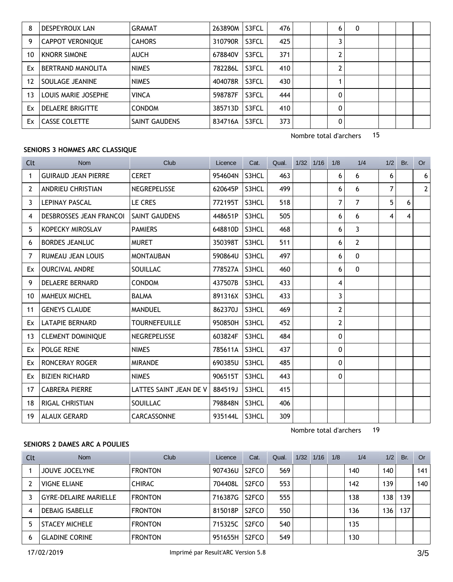| 8  | DESPEYROUX LAN          | <b>GRAMAT</b>        | 263890M | S3FCL | 476 | 6            | 0 |  |  |
|----|-------------------------|----------------------|---------|-------|-----|--------------|---|--|--|
| 9  | <b>CAPPOT VERONIQUE</b> | <b>CAHORS</b>        | 310790R | S3FCL | 425 |              |   |  |  |
| 10 | <b>KNORR SIMONE</b>     | AUCH                 | 678840V | S3FCL | 371 | 2            |   |  |  |
| Ex | BERTRAND MANOLITA       | <b>NIMES</b>         | 782286L | S3FCL | 410 | 2            |   |  |  |
| 12 | SOULAGE JEANINE         | <b>NIMES</b>         | 404078R | S3FCL | 430 |              |   |  |  |
| 13 | LOUIS MARIE JOSEPHE     | <b>VINCA</b>         | 598787F | S3FCL | 444 | 0            |   |  |  |
| Ex | <b>DELAERE BRIGITTE</b> | <b>CONDOM</b>        | 385713D | S3FCL | 410 | 0            |   |  |  |
| Ex | <b>CASSE COLETTE</b>    | <b>SAINT GAUDENS</b> | 834716A | S3FCL | 373 | $\mathbf{0}$ |   |  |  |

Nombre total d'archers 15

#### **SENIORS 3 HOMMES ARC CLASSIQUE**

| Clt            | Nom                            | Club                   | Licence | Cat.  | Qual. | $1/32$ $1/16$ | 1/8          | 1/4          | 1/2 | Br. | <b>Or</b>      |
|----------------|--------------------------------|------------------------|---------|-------|-------|---------------|--------------|--------------|-----|-----|----------------|
| 1              | <b>GUIRAUD JEAN PIERRE</b>     | <b>CERET</b>           | 954604N | S3HCL | 463   |               | 6            | 6            | 6   |     | 6 <sup>1</sup> |
| 2              | ANDRIEU CHRISTIAN              | <b>NEGREPELISSE</b>    | 620645P | S3HCL | 499   |               | 6            | 6            | 7   |     | 2              |
| 3              | <b>LEPINAY PASCAL</b>          | LE CRES                | 772195T | S3HCL | 518   |               | 7            | 7            | 5   | 6   |                |
| 4              | <b>DESBROSSES JEAN FRANCOI</b> | SAINT GAUDENS          | 448651P | S3HCL | 505   |               | 6            | 6            | 4   | 4   |                |
| 5              | KOPECKY MIROSLAV               | <b>PAMIERS</b>         | 648810D | S3HCL | 468   |               | 6            | 3            |     |     |                |
| 6              | <b>BORDES JEANLUC</b>          | <b>MURET</b>           | 350398T | S3HCL | 511   |               | 6            | 2            |     |     |                |
| $\overline{7}$ | RUMEAU JEAN LOUIS              | <b>MONTAUBAN</b>       | 590864U | S3HCL | 497   |               | 6            | $\mathbf{0}$ |     |     |                |
| Ex             | <b>OURCIVAL ANDRE</b>          | SOUILLAC               | 778527A | S3HCL | 460   |               | 6            | $\mathbf{0}$ |     |     |                |
| 9              | <b>DELAERE BERNARD</b>         | <b>CONDOM</b>          | 437507B | S3HCL | 433   |               | 4            |              |     |     |                |
| 10             | <b>MAHEUX MICHEL</b>           | <b>BALMA</b>           | 891316X | S3HCL | 433   |               | 3            |              |     |     |                |
| 11             | <b>GENEYS CLAUDE</b>           | <b>MANDUEL</b>         | 862370J | S3HCL | 469   |               | 2            |              |     |     |                |
| Ex             | <b>LATAPIE BERNARD</b>         | <b>TOURNEFEUILLE</b>   | 950850H | S3HCL | 452   |               | 2            |              |     |     |                |
| 13             | <b>CLEMENT DOMINIQUE</b>       | <b>NEGREPELISSE</b>    | 603824F | S3HCL | 484   |               | 0            |              |     |     |                |
| Ex             | <b>POLGE RENE</b>              | <b>NIMES</b>           | 785611A | S3HCL | 437   |               | 0            |              |     |     |                |
| Ex             | <b>RONCERAY ROGER</b>          | <b>MIRANDE</b>         | 690385U | S3HCL | 485   |               | 0            |              |     |     |                |
| Ex             | <b>BIZIEN RICHARD</b>          | <b>NIMES</b>           | 906515T | S3HCL | 443   |               | $\mathbf{0}$ |              |     |     |                |
| 17             | <b>CABRERA PIERRE</b>          | LATTES SAINT JEAN DE V | 884519J | S3HCL | 415   |               |              |              |     |     |                |
| 18             | <b>RIGAL CHRISTIAN</b>         | SOUILLAC               | 798848N | S3HCL | 406   |               |              |              |     |     |                |
| 19             | <b>ALAUX GERARD</b>            | <b>CARCASSONNE</b>     | 935144L | S3HCL | 309   |               |              |              |     |     |                |

Nombre total d'archers 19

### **SENIORS 2 DAMES ARC A POULIES**

| Clt | <b>Nom</b>                   | Club           | Licence | Cat.               | Qual. | 1/32 | 1/16 | 1/8 | 1/4 | 1/2 | Br. | Or  |
|-----|------------------------------|----------------|---------|--------------------|-------|------|------|-----|-----|-----|-----|-----|
|     | JOUVE JOCELYNE               | <b>FRONTON</b> | 907436U | S2FCO              | 569   |      |      |     | 140 | 140 |     | 141 |
|     | <b>VIGNE ELIANE</b>          | <b>CHIRAC</b>  | 704408L | S <sub>2</sub> FCO | 553   |      |      |     | 142 | 139 |     | 140 |
|     | <b>GYRE-DELAIRE MARIELLE</b> | <b>FRONTON</b> | 716387G | S2FCO              | 555   |      |      |     | 138 | 138 | 139 |     |
| 4   | <b>DEBAIG ISABELLE</b>       | <b>FRONTON</b> | 815018P | S <sub>2</sub> FCO | 550   |      |      |     | 136 | 136 | 137 |     |
|     | <b>STACEY MICHELE</b>        | <b>FRONTON</b> | 715325C | S2FCO              | 540   |      |      |     | 135 |     |     |     |
| 6   | <b>GLADINE CORINE</b>        | <b>FRONTON</b> | 951655H | S <sub>2</sub> FCO | 549   |      |      |     | 130 |     |     |     |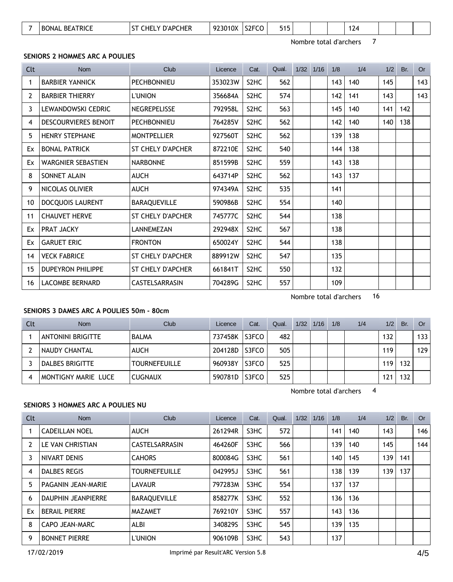| S <sub>2</sub> FCO<br>$\overline{\phantom{0}}$<br>515<br><b>TRICF</b><br>0.22<br>៱៱៶<br>$\sim$<br>ንCHER<br>AP۲ت<br>- B0<br>. нг<br>')NA.<br>u<br><b>BFA</b><br>пr<br>$\overline{\mathbf{u}}$<br>י ב<br>1 L<br>$\cdot$ .<br>w |  |  |
|------------------------------------------------------------------------------------------------------------------------------------------------------------------------------------------------------------------------------|--|--|
|------------------------------------------------------------------------------------------------------------------------------------------------------------------------------------------------------------------------------|--|--|

Nombre total d'archers 7

#### **SENIORS 2 HOMMES ARC A POULIES**

| Clt | Nom                       | Club                  | Licence | Cat.              | Qual. | $1/32$ $1/16$ | 1/8 | 1/4 | 1/2 | Br. | <b>Or</b> |
|-----|---------------------------|-----------------------|---------|-------------------|-------|---------------|-----|-----|-----|-----|-----------|
| 1   | <b>BARBIER YANNICK</b>    | <b>PECHBONNIEU</b>    | 353023W | S <sub>2</sub> HC | 562   |               | 143 | 140 | 145 |     | 143       |
| 2   | <b>BARBIER THIERRY</b>    | <b>L'UNION</b>        | 356684A | S <sub>2</sub> HC | 574   |               | 142 | 141 | 143 |     | 143       |
| 3   | LEWANDOWSKI CEDRIC        | <b>NEGREPELISSE</b>   | 792958L | S <sub>2</sub> HC | 563   |               | 145 | 140 | 141 | 142 |           |
| 4   | DESCOURVIERES BENOIT      | <b>PECHBONNIEU</b>    | 764285V | S <sub>2</sub> HC | 562   |               | 142 | 140 | 140 | 138 |           |
| 5   | <b>HENRY STEPHANE</b>     | <b>MONTPELLIER</b>    | 927560T | S <sub>2</sub> HC | 562   |               | 139 | 138 |     |     |           |
| Ex  | <b>BONAL PATRICK</b>      | ST CHELY D'APCHER     | 872210E | S <sub>2</sub> HC | 540   |               | 144 | 138 |     |     |           |
| Ex  | <b>WARGNIER SEBASTIEN</b> | <b>NARBONNE</b>       | 851599B | S <sub>2</sub> HC | 559   |               | 143 | 138 |     |     |           |
| 8   | SONNET ALAIN              | AUCH                  | 643714P | S <sub>2</sub> HC | 562   |               | 143 | 137 |     |     |           |
| 9   | NICOLAS OLIVIER           | <b>AUCH</b>           | 974349A | S <sub>2</sub> HC | 535   |               | 141 |     |     |     |           |
| 10  | <b>DOCQUOIS LAURENT</b>   | BARAQUEVILLE          | 590986B | S <sub>2</sub> HC | 554   |               | 140 |     |     |     |           |
| 11  | <b>CHAUVET HERVE</b>      | ST CHELY D'APCHER     | 745777C | S <sub>2</sub> HC | 544   |               | 138 |     |     |     |           |
| Ex  | PRAT JACKY                | LANNEMEZAN            | 292948X | S <sub>2</sub> HC | 567   |               | 138 |     |     |     |           |
| Ex  | <b>GARUET ERIC</b>        | <b>FRONTON</b>        | 650024Y | S <sub>2</sub> HC | 544   |               | 138 |     |     |     |           |
| 14  | <b>VECK FABRICE</b>       | ST CHELY D'APCHER     | 889912W | S <sub>2</sub> HC | 547   |               | 135 |     |     |     |           |
| 15  | <b>DUPEYRON PHILIPPE</b>  | ST CHELY D'APCHER     | 661841T | S <sub>2</sub> HC | 550   |               | 132 |     |     |     |           |
| 16  | <b>LACOMBE BERNARD</b>    | <b>CASTELSARRASIN</b> | 704289G | S <sub>2</sub> HC | 557   |               | 109 |     |     |     |           |

Nombre total d'archers 16

## **SENIORS 3 DAMES ARC A POULIES 50m - 80cm**

| Clt | <b>Nom</b>               | Club                 | Licence | Cat.  | Qual. | 1/32 | 1/16 | 1/8 | 1/4 | 1/2 | Br. | Or  |
|-----|--------------------------|----------------------|---------|-------|-------|------|------|-----|-----|-----|-----|-----|
|     | <b>ANTONINI BRIGITTE</b> | <b>BALMA</b>         | 737458K | S3FCO | 482   |      |      |     |     | 132 |     | 133 |
|     | I NAUDY CHANTAL          | <b>AUCH</b>          | 204128D | S3FCO | 505   |      |      |     |     | 119 |     | 129 |
|     | DALBES BRIGITTE          | <b>TOURNEFEUILLE</b> | 960938Y | S3FCO | 525   |      |      |     |     | 119 | 132 |     |
|     | MONTIGNY MARIE LUCE      | <b>CUGNAUX</b>       | 590781D | S3FCO | 525   |      |      |     |     | 121 | 132 |     |

Nombre total d'archers 4

#### **SENIORS 3 HOMMES ARC A POULIES NU**

| Clt | <b>Nom</b>                | Club                  | Licence | Cat. | Qual. | 1/32 | 1/16 | 1/8 | 1/4 | 1/2 | Br. | Or  |
|-----|---------------------------|-----------------------|---------|------|-------|------|------|-----|-----|-----|-----|-----|
|     | <b>CADEILLAN NOEL</b>     | <b>AUCH</b>           | 261294R | S3HC | 572   |      |      | 141 | 140 | 143 |     | 146 |
| 2   | LE VAN CHRISTIAN          | <b>CASTELSARRASIN</b> | 464260F | S3HC | 566   |      |      | 139 | 140 | 145 |     | 144 |
| 3   | NIVART DENIS              | <b>CAHORS</b>         | 800084G | S3HC | 561   |      |      | 140 | 145 | 139 | 141 |     |
| 4   | DALBES REGIS              | <b>TOURNEFEUILLE</b>  | 042995J | S3HC | 561   |      |      | 138 | 139 | 139 | 137 |     |
| 5   | PAGANIN JEAN-MARIE        | <b>LAVAUR</b>         | 797283M | S3HC | 554   |      |      | 137 | 137 |     |     |     |
| 6   | <b>DAUPHIN JEANPIERRE</b> | <b>BARAQUEVILLE</b>   | 858277K | S3HC | 552   |      |      | 136 | 136 |     |     |     |
| Ex  | <b>BERAIL PIERRE</b>      | <b>MAZAMET</b>        | 769210Y | S3HC | 557   |      |      | 143 | 136 |     |     |     |
| 8   | CAPO JEAN-MARC            | ALBI                  | 340829S | S3HC | 545   |      |      | 139 | 135 |     |     |     |
| 9   | <b>BONNET PIERRE</b>      | <b>L'UNION</b>        | 906109B | S3HC | 543   |      |      | 137 |     |     |     |     |